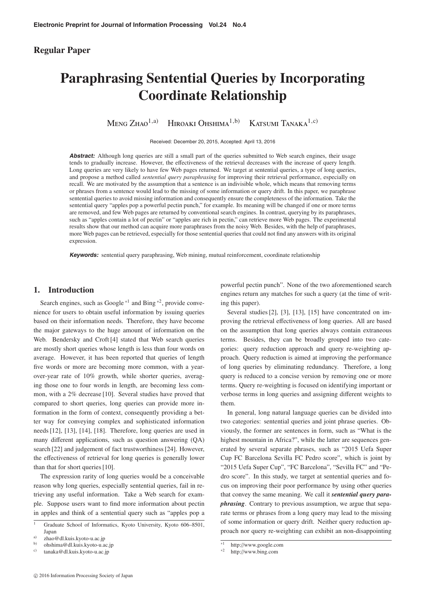# **Regular Paper**

# **Paraphrasing Sentential Queries by Incorporating Coordinate Relationship**

Meng  $Z_{HAO}^{1,a)}$  Hiroaki Ohshima<sup>1,b)</sup> Katsumi Tanaka<sup>1,c)</sup>

Received: December 20, 2015, Accepted: April 13, 2016

**Abstract:** Although long queries are still a small part of the queries submitted to Web search engines, their usage tends to gradually increase. However, the effectiveness of the retrieval decreases with the increase of query length. Long queries are very likely to have few Web pages returned. We target at sentential queries, a type of long queries, and propose a method called *sentential query paraphrasing* for improving their retrieval performance, especially on recall. We are motivated by the assumption that a sentence is an indivisible whole, which means that removing terms or phrases from a sentence would lead to the missing of some information or query drift. In this paper, we paraphrase sentential queries to avoid missing information and consequently ensure the completeness of the information. Take the sentential query "apples pop a powerful pectin punch," for example. Its meaning will be changed if one or more terms are removed, and few Web pages are returned by conventional search engines. In contrast, querying by its paraphrases, such as "apples contain a lot of pectin" or "apples are rich in pectin," can retrieve more Web pages. The experimental results show that our method can acquire more paraphrases from the noisy Web. Besides, with the help of paraphrases, more Web pages can be retrieved, especially for those sentential queries that could not find any answers with its original expression.

**Keywords:** sentential query paraphrasing, Web mining, mutual reinforcement, coordinate relationship

# **1. Introduction**

Search engines, such as Google<sup> $*1$ </sup> and Bing  $*2$ , provide convenience for users to obtain useful information by issuing queries based on their information needs. Therefore, they have become the major gateways to the huge amount of information on the Web. Bendersky and Croft [4] stated that Web search queries are mostly short queries whose length is less than four words on average. However, it has been reported that queries of length five words or more are becoming more common, with a yearover-year rate of 10% growth, while shorter queries, averaging those one to four words in length, are becoming less common, with a 2% decrease [10]. Several studies have proved that compared to short queries, long queries can provide more information in the form of context, consequently providing a better way for conveying complex and sophisticated information needs [12], [13], [14], [18]. Therefore, long queries are used in many different applications, such as question answering (QA) search [22] and judgement of fact trustworthiness [24]. However, the effectiveness of retrieval for long queries is generally lower than that for short queries [10].

The expression rarity of long queries would be a conceivable reason why long queries, especially sentential queries, fail in retrieving any useful information. Take a Web search for example. Suppose users want to find more information about pectin in apples and think of a sentential query such as "apples pop a powerful pectin punch". None of the two aforementioned search engines return any matches for such a query (at the time of writing this paper).

Several studies [2], [3], [13], [15] have concentrated on improving the retrieval effectiveness of long queries. All are based on the assumption that long queries always contain extraneous terms. Besides, they can be broadly grouped into two categories: query reduction approach and query re-weighting approach. Query reduction is aimed at improving the performance of long queries by eliminating redundancy. Therefore, a long query is reduced to a concise version by removing one or more terms. Query re-weighting is focused on identifying important or verbose terms in long queries and assigning different weights to them.

In general, long natural language queries can be divided into two categories: sentential queries and joint phrase queries. Obviously, the former are sentences in form, such as "What is the highest mountain in Africa?", while the latter are sequences generated by several separate phrases, such as "2015 Uefa Super Cup FC Barcelona Sevilla FC Pedro score", which is joint by "2015 Uefa Super Cup", "FC Barcelona", "Sevilla FC" and "Pedro score". In this study, we target at sentential queries and focus on improving their poor performance by using other queries that convey the same meaning. We call it *sentential query paraphrasing*. Contrary to previous assumption, we argue that separate terms or phrases from a long query may lead to the missing of some information or query drift. Neither query reduction approach nor query re-weighting can exhibit an non-disappointing

<sup>&</sup>lt;sup>1</sup> Graduate School of Informatics, Kyoto University, Kyoto 606–8501, Japan

<sup>&</sup>lt;sup>a)</sup> zhao@dl.kuis.kyoto-u.ac.jp<br>b) obchima@dl.kuis.kyoto.u.a

b) ohshima@dl.kuis.kyoto-u.ac.jp

tanaka@dl.kuis.kyoto-u.ac.jp

 $\frac{1}{2}$  http://www.google.com

http://www.bing.com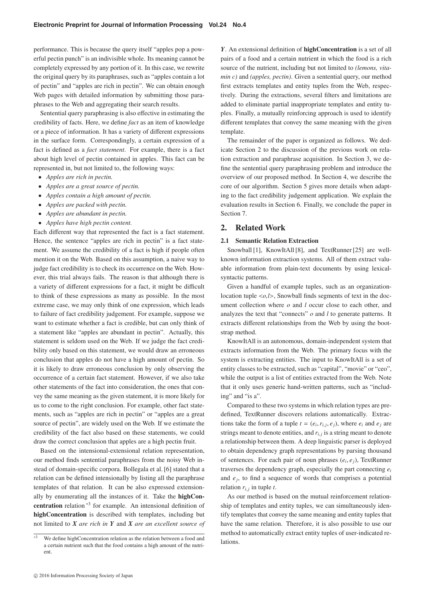performance. This is because the query itself "apples pop a powerful pectin punch" is an indivisible whole. Its meaning cannot be completely expressed by any portion of it. In this case, we rewrite the original query by its paraphrases, such as "apples contain a lot of pectin" and "apples are rich in pectin". We can obtain enough Web pages with detailed information by submitting those paraphrases to the Web and aggregating their search results.

Sentential query paraphrasing is also effective in estimating the credibility of facts. Here, we define *fact* as an item of knowledge or a piece of information. It has a variety of different expressions in the surface form. Correspondingly, a certain expression of a fact is defined as a *fact statement*. For example, there is a fact about high level of pectin contained in apples. This fact can be represented in, but not limited to, the following ways:

- *Apples are rich in pectin.*
- *Apples are a great source of pectin.*
- *Apples contain a high amount of pectin.*
- *Apples are packed with pectin.*
- *Apples are abundant in pectin.*
- *Apples have high pectin content.*

Each different way that represented the fact is a fact statement. Hence, the sentence "apples are rich in pectin" is a fact statement. We assume the credibility of a fact is high if people often mention it on the Web. Based on this assumption, a naive way to judge fact credibility is to check its occurrence on the Web. However, this trial always fails. The reason is that although there is a variety of different expressions for a fact, it might be difficult to think of these expressions as many as possible. In the most extreme case, we may only think of one expression, which leads to failure of fact credibility judgement. For example, suppose we want to estimate whether a fact is credible, but can only think of a statement like "apples are abundant in pectin". Actually, this statement is seldom used on the Web. If we judge the fact credibility only based on this statement, we would draw an erroneous conclusion that apples do not have a high amount of pectin. So it is likely to draw erroneous conclusion by only observing the occurrence of a certain fact statement. However, if we also take other statements of the fact into consideration, the ones that convey the same meaning as the given statement, it is more likely for us to come to the right conclusion. For example, other fact statements, such as "apples are rich in pectin" or "apples are a great source of pectin", are widely used on the Web. If we estimate the credibility of the fact also based on these statements, we could draw the correct conclusion that apples are a high pectin fruit.

Based on the intensional-extensional relation representation, our method finds sentential paraphrases from the noisy Web instead of domain-specific corpora. Bollegala et al. [6] stated that a relation can be defined intensionally by listing all the paraphrase templates of that relation. It can be also expressed extensionally by enumerating all the instances of it. Take the **highConcentration** relation \*3 for example. An intensional definition of **highConcentration** is described with templates, including but not limited to *X are rich in Y* and *X are an excellent source of*

*Y*. An extensional definition of **highConcentration** is a set of all pairs of a food and a certain nutrient in which the food is a rich source of the nutrient, including but not limited to *(lemons, vitamin c)* and *(apples, pectin)*. Given a sentential query, our method first extracts templates and entity tuples from the Web, respectively. During the extractions, several filters and limitations are added to eliminate partial inappropriate templates and entity tuples. Finally, a mutually reinforcing approach is used to identify different templates that convey the same meaning with the given template.

The remainder of the paper is organized as follows. We dedicate Section 2 to the discussion of the previous work on relation extraction and paraphrase acquisition. In Section 3, we define the sentential query paraphrasing problem and introduce the overview of our proposed method. In Section 4, we describe the core of our algorithm. Section 5 gives more details when adapting to the fact credibility judgement application. We explain the evaluation results in Section 6. Finally, we conclude the paper in Section 7.

# **2. Related Work**

## **2.1 Semantic Relation Extraction**

Snowball [1], KnowItAll [8], and TextRunner [25] are wellknown information extraction systems. All of them extract valuable information from plain-text documents by using lexicalsyntactic patterns.

Given a handful of example tuples, such as an organizationlocation tuple <*o,l*>, Snowball finds segments of text in the document collection where *o* and *l* occur close to each other, and analyzes the text that "connects" *o* and *l* to generate patterns. It extracts different relationships from the Web by using the bootstrap method.

KnowItAll is an autonomous, domain-independent system that extracts information from the Web. The primary focus with the system is extracting entities. The input to KnowItAll is a set of entity classes to be extracted, such as "capital", "movie" or "ceo", while the output is a list of entities extracted from the Web. Note that it only uses generic hand-written patterns, such as "including" and "is a".

Compared to these two systems in which relation types are predefined, TextRunner discovers relations automatically. Extractions take the form of a tuple  $t = (e_i, r_{i,j}, e_j)$ , where  $e_i$  and  $e_j$  are strings meant to denote entities, and  $r_{i,j}$  is a string meant to denote a relationship between them. A deep linguistic parser is deployed to obtain dependency graph representations by parsing thousand of sentences. For each pair of noun phrases (*ei*, *ej*), TextRunner traverses the dependency graph, especially the part connecting  $e_i$ and  $e_j$ , to find a sequence of words that comprises a potential relation  $r_{i,j}$  in tuple  $t$ .

As our method is based on the mutual reinforcement relationship of templates and entity tuples, we can simultaneously identify templates that convey the same meaning and entity tuples that have the same relation. Therefore, it is also possible to use our method to automatically extract entity tuples of user-indicated relations.

We define highConcentration relation as the relation between a food and a certain nutrient such that the food contains a high amount of the nutrient.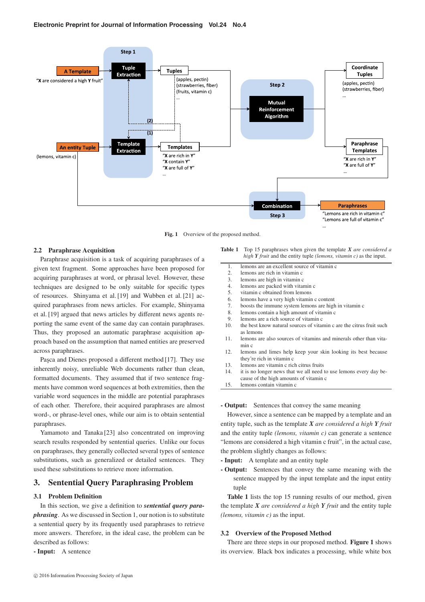

Fig. 1 Overview of the proposed method.

### **2.2 Paraphrase Acquisition**

Paraphrase acquisition is a task of acquiring paraphrases of a given text fragment. Some approaches have been proposed for acquiring paraphrases at word, or phrasal level. However, these techniques are designed to be only suitable for specific types of resources. Shinyama et al. [19] and Wubben et al. [21] acquired paraphrases from news articles. For example, Shinyama et al. [19] argued that news articles by different news agents reporting the same event of the same day can contain paraphrases. Thus, they proposed an automatic paraphrase acquisition approach based on the assumption that named entities are preserved across paraphrases.

Pasca and Dienes proposed a different method [17]. They use inherently noisy, unreliable Web documents rather than clean, formatted documents. They assumed that if two sentence fragments have common word sequences at both extremities, then the variable word sequences in the middle are potential paraphrases of each other. Therefore, their acquired paraphrases are almost word-, or phrase-level ones, while our aim is to obtain sentential paraphrases.

Yamamoto and Tanaka [23] also concentrated on improving search results responded by sentential queries. Unlike our focus on paraphrases, they generally collected several types of sentence substitutions, such as generalized or detailed sentences. They used these substitutions to retrieve more information.

# **3. Sentential Query Paraphrasing Problem**

# **3.1 Problem Definition**

In this section, we give a definition to *sentential query paraphrasing*. As we discussed in Section 1, our notion is to substitute a sentential query by its frequently used paraphrases to retrieve more answers. Therefore, in the ideal case, the problem can be described as follows:

**- Input:** A sentence

**Table 1** Top 15 paraphrases when given the template *X are considered a high Y fruit* and the entity tuple *(lemons, vitamin c)* as the input.

| 1.  | lemons are an excellent source of vitamin c                                                                 |
|-----|-------------------------------------------------------------------------------------------------------------|
| 2.  | lemons are rich in vitamin c                                                                                |
| 3.  | lemons are high in vitamin c                                                                                |
| 4.  | lemons are packed with vitamin c                                                                            |
| 5.  | vitamin c obtained from lemons                                                                              |
| 6.  | lemons have a very high vitamin c content                                                                   |
| 7.  | boosts the immune system lemons are high in vitamin c                                                       |
| 8.  | lemons contain a high amount of vitamin c                                                                   |
| 9.  | lemons are a rich source of vitamin c                                                                       |
| 10. | the best know natural sources of vitamin c are the citrus fruit such<br>as lemons                           |
| 11. | lemons are also sources of vitamins and minerals other than vita-<br>min c                                  |
| 12. | lemons and limes help keep your skin looking its best because<br>they're rich in vitamin c                  |
| 13. | lemons are vitamin c rich citrus fruits                                                                     |
| 14. | it is no longer news that we all need to use lemons every day be-<br>cause of the high amounts of vitamin c |
| 15. | lemons contain vitamin c                                                                                    |
|     |                                                                                                             |

## **- Output:** Sentences that convey the same meaning

However, since a sentence can be mapped by a template and an entity tuple, such as the template *X are considered a high Y fruit* and the entity tuple *(lemons, vitamin c)* can generate a sentence "lemons are considered a high vitamin c fruit", in the actual case, the problem slightly changes as follows:

- **Input:** A template and an entity tuple
- **Output:** Sentences that convey the same meaning with the sentence mapped by the input template and the input entity tuple

**Table 1** lists the top 15 running results of our method, given the template *X are considered a high Y fruit* and the entity tuple *(lemons, vitamin c)* as the input.

#### **3.2 Overview of the Proposed Method**

There are three steps in our proposed method. **Figure 1** shows its overview. Black box indicates a processing, while white box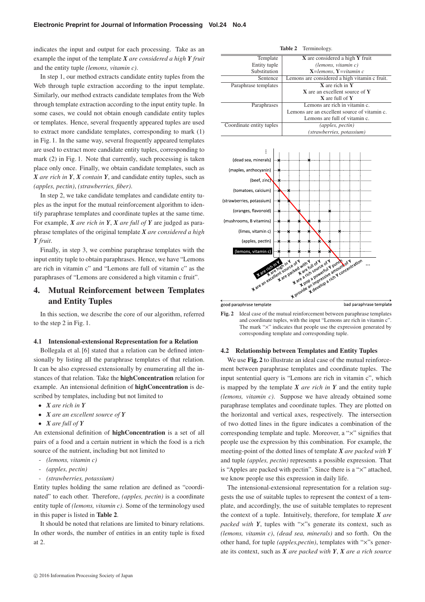indicates the input and output for each processing. Take as an example the input of the template *X are considered a high Y fruit* and the entity tuple *(lemons, vitamin c)*.

In step 1, our method extracts candidate entity tuples from the Web through tuple extraction according to the input template. Similarly, our method extracts candidate templates from the Web through template extraction according to the input entity tuple. In some cases, we could not obtain enough candidate entity tuples or templates. Hence, several frequently appeared tuples are used to extract more candidate templates, corresponding to mark (1) in Fig. 1. In the same way, several frequently appeared templates are used to extract more candidate entity tuples, corresponding to mark (2) in Fig. 1. Note that currently, such processing is taken place only once. Finally, we obtain candidate templates, such as *X are rich in Y*, *X contain Y*, and candidate entity tuples, such as *(apples, pectin)*, *(strawberries, fiber)*.

In step 2, we take candidate templates and candidate entity tuples as the input for the mutual reinforcement algorithm to identify paraphrase templates and coordinate tuples at the same time. For example, *X are rich in Y*, *X are full of Y* are judged as paraphrase templates of the original template *X are considered a high Y fruit*.

Finally, in step 3, we combine paraphrase templates with the input entity tuple to obtain paraphrases. Hence, we have "Lemons are rich in vitamin c" and "Lemons are full of vitamin c" as the paraphrases of "Lemons are considered a high vitamin c fruit".

# **4. Mutual Reinforcement between Templates and Entity Tuples**

In this section, we describe the core of our algorithm, referred to the step 2 in Fig. 1.

## **4.1 Intensional-extensional Representation for a Relation**

Bollegala et al. [6] stated that a relation can be defined intensionally by listing all the paraphrase templates of that relation. It can be also expressed extensionally by enumerating all the instances of that relation. Take the **highConcentration** relation for example. An intensional definition of **highConcentration** is described by templates, including but not limited to

- *X are rich in Y*
- *X are an excellent source of Y*
- *X are full of Y*

An extensional definition of **highConcentration** is a set of all pairs of a food and a certain nutrient in which the food is a rich source of the nutrient, including but not limited to

- *(lemons, vitamin c)*
- *(apples, pectin)*
- *(strawberries, potassium)*

Entity tuples holding the same relation are defined as "coordinated" to each other. Therefore, *(apples, pectin)* is a coordinate entity tuple of *(lemons, vitamin c)*. Some of the terminology used in this paper is listed in **Table 2**.

It should be noted that relations are limited to binary relations. In other words, the number of entities in an entity tuple is fixed at 2.



**Fig. 2** Ideal case of the mutual reinforcement between paraphrase templates and coordinate tuples, with the input "Lemons are rich in vitamin c". The mark "×" indicates that people use the expression generated by corresponding template and corresponding tuple.

## **4.2 Relationship between Templates and Entity Tuples**

We use **Fig. 2** to illustrate an ideal case of the mutual reinforcement between paraphrase templates and coordinate tuples. The input sentential query is "Lemons are rich in vitamin c", which is mapped by the template *X are rich in Y* and the entity tuple *(lemons, vitamin c)*. Suppose we have already obtained some paraphrase templates and coordinate tuples. They are plotted on the horizontal and vertical axes, respectively. The intersection of two dotted lines in the figure indicates a combination of the corresponding template and tuple. Moreover, a "×" signifies that people use the expression by this combination. For example, the meeting-point of the dotted lines of template *X are packed with Y* and tuple *(apples, pectin)* represents a possible expression. That is "Apples are packed with pectin". Since there is a "×" attached, we know people use this expression in daily life.

The intensional-extensional representation for a relation suggests the use of suitable tuples to represent the context of a template, and accordingly, the use of suitable templates to represent the context of a tuple. Intuitively, therefore, for template *X are packed with Y*, tuples with "x"s generate its context, such as *(lemons, vitamin c)*, *(dead sea, minerals)* and so forth. On the other hand, for tuple *(apples,pectin)*, templates with "×"s generate its context, such as *X are packed with Y*, *X are a rich source*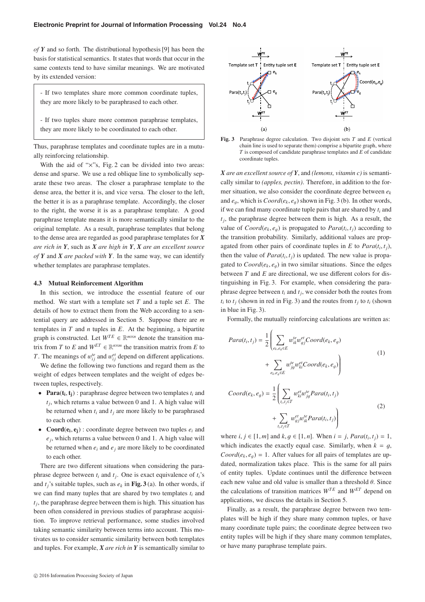*of Y* and so forth. The distributional hypothesis [9] has been the basis for statistical semantics. It states that words that occur in the same contexts tend to have similar meanings. We are motivated by its extended version:

- If two templates share more common coordinate tuples, they are more likely to be paraphrased to each other.

- If two tuples share more common paraphrase templates, they are more likely to be coordinated to each other.

Thus, paraphrase templates and coordinate tuples are in a mutually reinforcing relationship.

With the aid of "x"s, Fig. 2 can be divided into two areas: dense and sparse. We use a red oblique line to symbolically separate these two areas. The closer a paraphrase template to the dense area, the better it is, and vice versa. The closer to the left, the better it is as a paraphrase template. Accordingly, the closer to the right, the worse it is as a paraphrase template. A good paraphrase template means it is more semantically similar to the original template. As a result, paraphrase templates that belong to the dense area are regarded as good paraphrase templates for *X are rich in Y*, such as *X are high in Y*, *X are an excellent source of Y* and *X are packed with Y*. In the same way, we can identify whether templates are paraphrase templates.

#### **4.3 Mutual Reinforcement Algorithm**

In this section, we introduce the essential feature of our method. We start with a template set *T* and a tuple set *E*. The details of how to extract them from the Web according to a sentential query are addressed in Section 5. Suppose there are *m* templates in *T* and *n* tuples in *E*. At the beginning, a bipartite graph is constructed. Let  $W^{TE} \in \mathbb{R}^{m \times n}$  denote the transition matrix from *T* to *E* and  $W^{ET} \in \mathbb{R}^{n \times m}$  the transition matrix from *E* to *T*. The meanings of  $w_{ij}^{te}$  and  $w_{ij}^{et}$  depend on different applications.

We define the following two functions and regard them as the weight of edges between templates and the weight of edges between tuples, respectively.

- **Para**( $t_i$ , $t_i$ ) : paraphrase degree between two templates  $t_i$  and  $t_i$ , which returns a value between 0 and 1. A high value will be returned when  $t_i$  and  $t_j$  are more likely to be paraphrased to each other.
- **Coord** $(e_i, e_i)$ : coordinate degree between two tuples  $e_i$  and *ej*, which returns a value between 0 and 1. A high value will be returned when  $e_i$  and  $e_j$  are more likely to be coordinated to each other.

There are two different situations when considering the paraphrase degree between  $t_i$  and  $t_j$ . One is exact equivalence of  $t_i$ 's and  $t_i$ 's suitable tuples, such as  $e_k$  in **Fig. 3** (a). In other words, if we can find many tuples that are shared by two templates  $t_i$  and  $t_i$ , the paraphrase degree between them is high. This situation has been often considered in previous studies of paraphrase acquisition. To improve retrieval performance, some studies involved taking semantic similarity between terms into account. This motivates us to consider semantic similarity between both templates and tuples. For example, *X are rich in Y* is semantically similar to



**Fig. 3** Paraphrase degree calculation. Two disjoint sets *T* and *E* (vertical chain line is used to separate them) comprise a bipartite graph, where *T* is composed of candidate paraphrase templates and *E* of candidate coordinate tuples.

*X are an excellent source of Y*, and *(lemons, vitamin c)* is semantically similar to *(apples, pectin)*. Therefore, in addition to the former situation, we also consider the coordinate degree between *ek* and  $e_q$ , which is  $Coord(e_k, e_q)$  shown in Fig. 3 (b). In other words, if we can find many coordinate tuple pairs that are shared by  $t_i$  and  $t_i$ , the paraphrase degree between them is high. As a result, the value of  $Coord(e_k, e_q)$  is propagated to  $Para(t_i, t_j)$  according to the transition probability. Similarly, additional values are propagated from other pairs of coordinate tuples in  $E$  to  $Para(t_i, t_i)$ , then the value of  $Para(t_i, t_i)$  is updated. The new value is propagated to  $Coord(e_k, e_q)$  in two similar situations. Since the edges between *T* and *E* are directional, we use different colors for distinguishing in Fig. 3. For example, when considering the paraphrase degree between  $t_i$  and  $t_j$ , we consider both the routes from  $t_i$  to  $t_j$  (shown in red in Fig. 3) and the routes from  $t_j$  to  $t_i$  (shown in blue in Fig. 3).

Formally, the mutually reinforcing calculations are written as:

$$
Para(t_i, t_j) = \frac{1}{2} \left( \sum_{e_k, e_g \in E} w_{ik}^{te} w_{gj}^{et} Good(e_k, e_g) + \sum_{e_k, e_g \in E} w_{jg}^{te} w_{ki}^{et} Coord(e_k, e_g) \right)
$$
\n
$$
Coord(e_k, e_g) = \frac{1}{2} \left( \sum_{i_i, i_j \in T} w_{ki}^{et} w_{jg}^{te} Para(t_i, t_j) \right)
$$
\n(2)

$$
+\sum_{t_i,t_j\in T}w_{gj}^{et}w_{ik}^{te}Para(t_i,t_j)\Bigg)
$$

where *i*, *j* ∈ [1, *m*] and *k*, *g* ∈ [1, *n*]. When *i* = *j*, *Para*(*t<sub>i</sub>*, *t<sub>i</sub>*) = 1, which indicates the exactly equal case. Similarly, when  $k = q$ ,  $Coord(e_k, e_q) = 1$ . After values for all pairs of templates are updated, normalization takes place. This is the same for all pairs of entity tuples. Update continues until the difference between each new value and old value is smaller than a threshold  $\theta$ . Since the calculations of transition matrices  $W^{TE}$  and  $W^{ET}$  depend on applications, we discuss the details in Section 5.

Finally, as a result, the paraphrase degree between two templates will be high if they share many common tuples, or have many coordinate tuple pairs; the coordinate degree between two entity tuples will be high if they share many common templates, or have many paraphrase template pairs.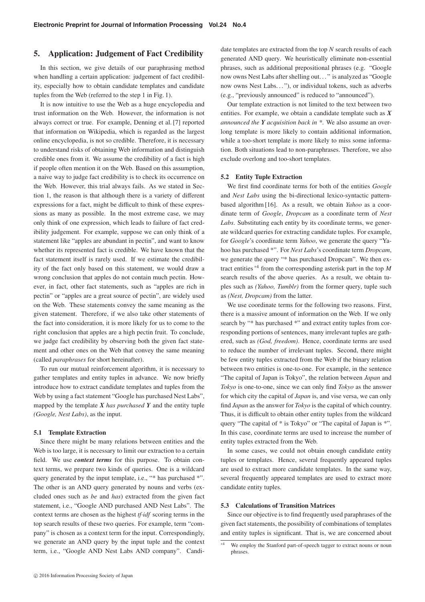# **5. Application: Judgement of Fact Credibility**

In this section, we give details of our paraphrasing method when handling a certain application: judgement of fact credibility, especially how to obtain candidate templates and candidate tuples from the Web (referred to the step 1 in Fig. 1).

It is now intuitive to use the Web as a huge encyclopedia and trust information on the Web. However, the information is not always correct or true. For example, Denning et al. [7] reported that information on Wikipedia, which is regarded as the largest online encyclopedia, is not so credible. Therefore, it is necessary to understand risks of obtaining Web information and distinguish credible ones from it. We assume the credibility of a fact is high if people often mention it on the Web. Based on this assumption, a naive way to judge fact credibility is to check its occurrence on the Web. However, this trial always fails. As we stated in Section 1, the reason is that although there is a variety of different expressions for a fact, might be difficult to think of these expressions as many as possible. In the most extreme case, we may only think of one expression, which leads to failure of fact credibility judgement. For example, suppose we can only think of a statement like "apples are abundant in pectin", and want to know whether its represented fact is credible. We have known that the fact statement itself is rarely used. If we estimate the credibility of the fact only based on this statement, we would draw a wrong conclusion that apples do not contain much pectin. However, in fact, other fact statements, such as "apples are rich in pectin" or "apples are a great source of pectin", are widely used on the Web. These statements convey the same meaning as the given statement. Therefore, if we also take other statements of the fact into consideration, it is more likely for us to come to the right conclusion that apples are a high pectin fruit. To conclude, we judge fact credibility by observing both the given fact statement and other ones on the Web that convey the same meaning (called *paraphrases* for short hereinafter).

To run our mutual reinforcement algorithm, it is necessary to gather templates and entity tuples in advance. We now briefly introduce how to extract candidate templates and tuples from the Web by using a fact statement "Google has purchased Nest Labs", mapped by the template  $\overline{X}$  *has purchased*  $\overline{Y}$  and the entity tuple *(Google, Nest Labs)*, as the input.

#### **5.1 Template Extraction**

Since there might be many relations between entities and the Web is too large, it is necessary to limit our extraction to a certain field. We use *context terms* for this purpose. To obtain context terms, we prepare two kinds of queries. One is a wildcard query generated by the input template, i.e., "\* has purchased \*". The other is an AND query generated by nouns and verbs (excluded ones such as *be* and *has*) extracted from the given fact statement, i.e., "Google AND purchased AND Nest Labs". The context terms are chosen as the highest *tf*·*idf* scoring terms in the top search results of these two queries. For example, term "company" is chosen as a context term for the input. Correspondingly, we generate an AND query by the input tuple and the context term, i.e., "Google AND Nest Labs AND company". Candidate templates are extracted from the top *N* search results of each generated AND query. We heuristically eliminate non-essential phrases, such as additional prepositional phrases (e.g. "Google now owns Nest Labs after shelling out. . . " is analyzed as "Google now owns Nest Labs..."), or individual tokens, such as adverbs (e.g., "previously announced" is reduced to "announced").

Our template extraction is not limited to the text between two entities. For example, we obtain a candidate template such as *X announced the Y acquisition back in \**. We also assume an overlong template is more likely to contain additional information, while a too-short template is more likely to miss some information. Both situations lead to non-paraphrases. Therefore, we also exclude overlong and too-short templates.

## **5.2 Entity Tuple Extraction**

We first find coordinate terms for both of the entities *Google* and *Nest Labs* using the bi-directional lexico-syntactic patternbased algorithm [16]. As a result, we obtain *Yahoo* as a coordinate term of *Google*, *Dropcam* as a coordinate term of *Nest Labs*. Substituting each entity by its coordinate terms, we generate wildcard queries for extracting candidate tuples. For example, for *Google*'s coordinate term *Yahoo*, we generate the query "Yahoo has purchased \*". For *Nest Labs*'s coordinate term *Dropcam*, we generate the query "\* has purchased Dropcam". We then extract entities \*4 from the corresponding asterisk part in the top *M* search results of the above queries. As a result, we obtain tuples such as *(Yahoo, Tumblr)* from the former query, tuple such as *(Nest, Dropcam)* from the latter.

We use coordinate terms for the following two reasons. First, there is a massive amount of information on the Web. If we only search by "\* has purchased \*" and extract entity tuples from corresponding portions of sentences, many irrelevant tuples are gathered, such as *(God, freedom)*. Hence, coordinate terms are used to reduce the number of irrelevant tuples. Second, there might be few entity tuples extracted from the Web if the binary relation between two entities is one-to-one. For example, in the sentence "The capital of Japan is Tokyo", the relation between *Japan* and *Tokyo* is one-to-one, since we can only find *Tokyo* as the answer for which city the capital of *Japan* is, and vise versa, we can only find *Japan* as the answer for *Tokyo* is the capital of which country. Thus, it is difficult to obtain other entity tuples from the wildcard query "The capital of \* is Tokyo" or "The capital of Japan is \*". In this case, coordinate terms are used to increase the number of entity tuples extracted from the Web.

In some cases, we could not obtain enough candidate entity tuples or templates. Hence, several frequently appeared tuples are used to extract more candidate templates. In the same way, several frequently appeared templates are used to extract more candidate entity tuples.

## **5.3 Calculations of Transition Matrices**

Since our objective is to find frequently used paraphrases of the given fact statements, the possibility of combinations of templates and entity tuples is significant. That is, we are concerned about

<sup>\*4</sup> We employ the Stanford part-of-speech tagger to extract nouns or noun phrases.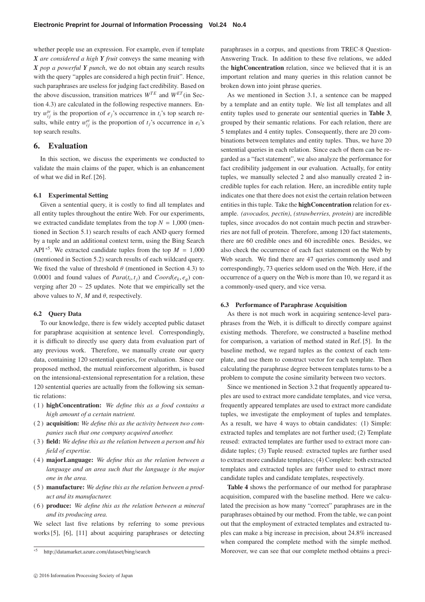whether people use an expression. For example, even if template *X are considered a high Y fruit* conveys the same meaning with *X pop a powerful Y punch*, we do not obtain any search results with the query "apples are considered a high pectin fruit". Hence, such paraphrases are useless for judging fact credibility. Based on the above discussion, transition matrices  $W^{TE}$  and  $W^{ET}$  (in Section 4.3) are calculated in the following respective manners. Entry  $w_{ij}^{te}$  is the proportion of *e<sub>j</sub>*'s occurrence in *t<sub>i</sub>*'s top search results, while entry  $w_{ij}^{et}$  is the proportion of  $t_j$ 's occurrence in  $e_i$ 's top search results.

# **6. Evaluation**

In this section, we discuss the experiments we conducted to validate the main claims of the paper, which is an enhancement of what we did in Ref. [26].

## **6.1 Experimental Setting**

Given a sentential query, it is costly to find all templates and all entity tuples throughout the entire Web. For our experiments, we extracted candidate templates from the top  $N = 1,000$  (mentioned in Section 5.1) search results of each AND query formed by a tuple and an additional context term, using the Bing Search API<sup>\*5</sup>. We extracted candidate tuples from the top  $M = 1,000$ (mentioned in Section 5.2) search results of each wildcard query. We fixed the value of threshold  $\theta$  (mentioned in Section 4.3) to 0.0001 and found values of  $Para(t_i, t_j)$  and  $Coord(e_k, e_q)$  converging after 20  $\sim$  25 updates. Note that we empirically set the above values to  $N$ ,  $M$  and  $\theta$ , respectively.

## **6.2 Query Data**

To our knowledge, there is few widely accepted public dataset for paraphrase acquisition at sentence level. Correspondingly, it is difficult to directly use query data from evaluation part of any previous work. Therefore, we manually create our query data, containing 120 sentential queries, for evaluation. Since our proposed method, the mutual reinforcement algorithm, is based on the intensional-extensional representation for a relation, these 120 sentential queries are actually from the following six semantic relations:

- (1) **highConcentration:** *We define this as a food contains a high amount of a certain nutrient.*
- (2) **acquisition:** *We define this as the activity between two companies such that one company acquired another.*
- (3) **field:** *We define this as the relation between a person and his field of expertise.*
- (4) **majorLanguage:** *We define this as the relation between a language and an area such that the language is the major one in the area.*
- (5) **manufacture:** *We define this as the relation between a product and its manufacturer.*
- (6) **produce:** *We define this as the relation between a mineral and its producing area.*

We select last five relations by referring to some previous works [5], [6], [11] about acquiring paraphrases or detecting

paraphrases in a corpus, and questions from TREC-8 Question-Answering Track. In addition to these five relations, we added the **highConcentration** relation, since we believed that it is an important relation and many queries in this relation cannot be broken down into joint phrase queries.

As we mentioned in Section 3.1, a sentence can be mapped by a template and an entity tuple. We list all templates and all entity tuples used to generate our sentential queries in **Table 3**, grouped by their semantic relations. For each relation, there are 5 templates and 4 entity tuples. Consequently, there are 20 combinations between templates and entity tuples. Thus, we have 20 sentential queries in each relation. Since each of them can be regarded as a "fact statement", we also analyze the performance for fact credibility judgement in our evaluation. Actually, for entity tuples, we manually selected 2 and also manually created 2 incredible tuples for each relation. Here, an incredible entity tuple indicates one that there does not exist the certain relation between entities in this tuple. Take the **highConcentration** relation for example. *(avocados, pectin)*, *(strawberries, protein)* are incredible tuples, since avocados do not contain much pectin and strawberries are not full of protein. Therefore, among 120 fact statements, there are 60 credible ones and 60 incredible ones. Besides, we also check the occurrence of each fact statement on the Web by Web search. We find there are 47 queries commonly used and correspondingly, 73 queries seldom used on the Web. Here, if the occurrence of a query on the Web is more than 10, we regard it as a commonly-used query, and vice versa.

## **6.3 Performance of Paraphrase Acquisition**

As there is not much work in acquiring sentence-level paraphrases from the Web, it is difficult to directly compare against existing methods. Therefore, we constructed a baseline method for comparison, a variation of method stated in Ref. [5]. In the baseline method, we regard tuples as the context of each template, and use them to construct vector for each template. Then calculating the paraphrase degree between templates turns to be a problem to compute the cosine similarity between two vectors.

Since we mentioned in Section 3.2 that frequently appeared tuples are used to extract more candidate templates, and vice versa, frequently appeared templates are used to extract more candidate tuples, we investigate the employment of tuples and templates. As a result, we have 4 ways to obtain candidates: (1) Simple: extracted tuples and templates are not further used; (2) Template reused: extracted templates are further used to extract more candidate tuples; (3) Tuple reused: extracted tuples are further used to extract more candidate templates; (4) Complete: both extracted templates and extracted tuples are further used to extract more candidate tuples and candidate templates, respectively.

**Table 4** shows the performance of our method for paraphrase acquisition, compared with the baseline method. Here we calculated the precision as how many "correct" paraphrases are in the paraphrases obtained by our method. From the table, we can point out that the employment of extracted templates and extracted tuples can make a big increase in precision, about 24.8% increased when compared the complete method with the simple method. Moreover, we can see that our complete method obtains a preci-

<sup>\*5</sup> http://datamarket.azure.com/dataset/bing/search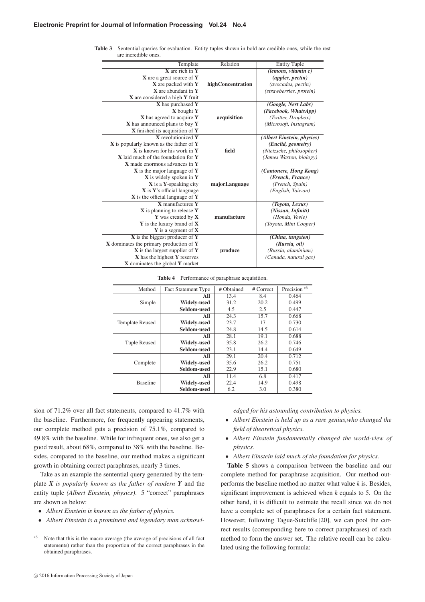| Template                                   | Relation          | <b>Entity Tuple</b>        |
|--------------------------------------------|-------------------|----------------------------|
| $X$ are rich in $Y$                        |                   | (lemon, vitamin c)         |
| X are a great source of Y                  |                   | (apples, pectin)           |
| <b>X</b> are packed with Y                 | highConcentration | (avocados, pectin)         |
| X are abundant in Y                        |                   | (strawberries, protein)    |
| X are considered a high Y fruit            |                   |                            |
| X has purchased Y                          |                   | (Google, Nest Labs)        |
| X bought Y                                 |                   | (Facebook, WhatsApp)       |
| X has agreed to acquire Y                  | acquisition       | (Twitter, Dropbox)         |
| X has announced plans to buy Y             |                   | (Microsoft, Instagram)     |
| X finished its acquisition of Y            |                   |                            |
| <b>X</b> revolutionized Y                  |                   | (Albert Einstein, physics) |
| $X$ is popularly known as the father of Y  |                   | (Euclid, geometry)         |
| <b>X</b> is known for his work in <b>Y</b> | field             | (Nietzsche, philosopher)   |
| X laid much of the foundation for Y        |                   | (James Waston, biology)    |
| X made enormous advances in Y              |                   |                            |
| $X$ is the major language of $Y$           |                   | (Cantonese, Hong Kong)     |
| X is widely spoken in Y                    |                   | (French, France)           |
| <b>X</b> is a Y-speaking city              | majorLanguage     | (French, Spain)            |
| X is Y's official language                 |                   | (English, Taiwan)          |
| $X$ is the official language of Y          |                   |                            |
| X manufactures Y                           |                   | (Toyota, Lexus)            |
| $X$ is planning to release $Y$             |                   | (Nissan, Infiniti)         |
| Y was created by X                         | manufacture       | (Honda, Vovle)             |
| Y is the luxury brand of X                 |                   | (Toyota, Mini Cooper)      |
| $Y$ is a segment of $X$                    |                   |                            |
| $X$ is the biggest producer of $Y$         |                   | (China, tungsten)          |
| $X$ dominates the primary production of Y  |                   | (Russia, oil)              |
| $X$ is the largest supplier of Y           | produce           | (Russia, aluminium)        |
| X has the highest Y reserves               |                   | (Canada, natural gas)      |
| X dominates the global Y market            |                   |                            |

**Table 3** Sentential queries for evaluation. Entity tuples shown in bold are credible ones, while the rest are incredible ones.

**Table 4** Performance of paraphrase acquisition.

| Method                 | <b>Fact Statement Type</b> | # Obtained | # Correct | Precision <sup>*6</sup> |
|------------------------|----------------------------|------------|-----------|-------------------------|
|                        |                            |            |           |                         |
|                        | All                        | 13.4       | 8.4       | 0.464                   |
| Simple                 | <b>Widely-used</b>         | 31.2       | 20.2      | 0.499                   |
|                        | Seldom-used                | 4.5        | 2.5       | 0.447                   |
|                        | All                        | 24.3       | 15.7      | 0.668                   |
| <b>Template Reused</b> | <b>Widely-used</b>         | 23.7       | 17        | 0.730                   |
|                        | Seldom-used                | 24.8       | 14.5      | 0.614                   |
|                        | All                        | 28.1       | 19.1      | 0.688                   |
| <b>Tuple Reused</b>    | <b>Widely-used</b>         | 35.8       | 26.2      | 0.746                   |
|                        | Seldom-used                | 23.1       | 14.4      | 0.649                   |
|                        | All                        | 29.1       | 20.4      | 0.712                   |
| Complete               | <b>Widely-used</b>         | 35.6       | 26.2      | 0.751                   |
|                        | Seldom-used                | 22.9       | 15.1      | 0.680                   |
|                        | All                        | 11.4       | 6.8       | 0.417                   |
| <b>Baseline</b>        | <b>Widely-used</b>         | 22.4       | 14.9      | 0.498                   |
|                        | Seldom-used                | 6.2        | 3.0       | 0.380                   |

sion of 71.2% over all fact statements, compared to 41.7% with the baseline. Furthermore, for frequently appearing statements, our complete method gets a precision of 75.1%, compared to 49.8% with the baseline. While for infrequent ones, we also get a good result, about 68%, compared to 38% with the baseline. Besides, compared to the baseline, our method makes a significant growth in obtaining correct paraphrases, nearly 3 times.

Take as an example the sentential query generated by the template *X is popularly known as the father of modern Y* and the entity tuple *(Albert Einstein, physics)*. 5 "correct" paraphrases are shown as below:

- *Albert Einstein is known as the father of physics.*
- *Albert Einstein is a prominent and legendary man acknowl-*

*edged for his astounding contribution to physics.*

- *Albert Einstein is held up as a rare genius,who changed the field of theoretical physics.*
- *Albert Einstein fundamentally changed the world-view of physics.*
- *Albert Einstein laid much of the foundation for physics.*

**Table 5** shows a comparison between the baseline and our complete method for paraphrase acquisition. Our method outperforms the baseline method no matter what value *k* is. Besides, significant improvement is achieved when *k* equals to 5. On the other hand, it is difficult to estimate the recall since we do not have a complete set of paraphrases for a certain fact statement. However, following Tague-Sutcliffe [20], we can pool the correct results (corresponding here to correct paraphrases) of each method to form the answer set. The relative recall can be calculated using the following formula:

 $*6$  Note that this is the macro average (the average of precisions of all fact statements) rather than the proportion of the correct paraphrases in the obtained paraphrases.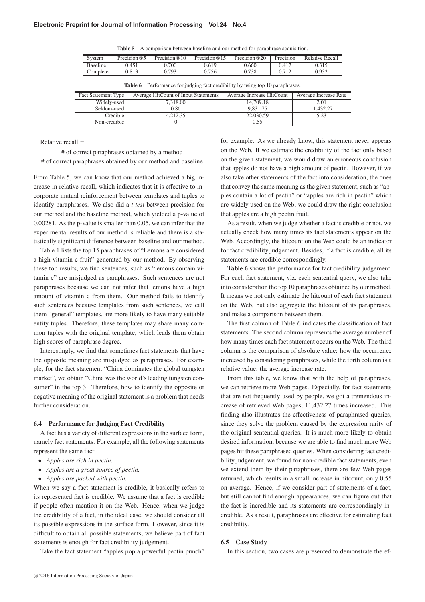**Table 5** A comparison between baseline and our method for paraphrase acquisition.

| System          | Precision $@5$ | Precision $@10$ | Precision $@15$ | Precision $@20$ | Precision | Relative Recall |
|-----------------|----------------|-----------------|-----------------|-----------------|-----------|-----------------|
| <b>Baseline</b> | 0.451          | 0.700           | 0.619           | 0.660           | 0.417     | 0.315           |
| Complete        | 0.813          | 0.793           | 0.756           | 0.738           | 0.712     | 0.932           |
|                 |                |                 |                 |                 |           |                 |

| <b>TWORE</b> $\sigma$ <b>T</b> enformance for paramigment enconomity by abing top to parapinable. |                                      |                           |                       |  |
|---------------------------------------------------------------------------------------------------|--------------------------------------|---------------------------|-----------------------|--|
| <b>Fact Statement Type</b>                                                                        | Average HitCount of Input Statements | Average Increase HitCount | Average Increase Rate |  |
| Widely-used                                                                                       | 7,318.00                             | 14,709.18                 | 2.01                  |  |
| Seldom-used                                                                                       | 0.86                                 | 9,831.75                  | 11,432.27             |  |
| Credible                                                                                          | 4,212.35                             | 22,030.59                 | 5.23                  |  |
| Non-credible                                                                                      |                                      | 0.55                      |                       |  |

**Table 6** Performance for judging fact credibility by using top 10 paraphrases.

Relative recall =

# of correct paraphrases obtained by a method # of correct paraphrases obtained by our method and baseline

From Table 5, we can know that our method achieved a big increase in relative recall, which indicates that it is effective to incorporate mutual reinforcement between templates and tuples to identify paraphrases. We also did a *t-test* between precision for our method and the baseline method, which yielded a p-value of 0.00281. As the p-value is smaller than 0.05, we can infer that the experimental results of our method is reliable and there is a statistically significant difference between baseline and our method.

Table 1 lists the top 15 paraphrases of "Lemons are considered a high vitamin c fruit" generated by our method. By observing these top results, we find sentences, such as "lemons contain vitamin c" are misjudged as paraphrases. Such sentences are not paraphrases because we can not infer that lemons have a high amount of vitamin c from them. Our method fails to identify such sentences because templates from such sentences, we call them "general" templates, are more likely to have many suitable entity tuples. Therefore, these templates may share many common tuples with the original template, which leads them obtain high scores of paraphrase degree.

Interestingly, we find that sometimes fact statements that have the opposite meaning are misjudged as paraphrases. For example, for the fact statement "China dominates the global tungsten market", we obtain "China was the world's leading tungsten consumer" in the top 3. Therefore, how to identify the opposite or negative meaning of the original statement is a problem that needs further consideration.

## **6.4 Performance for Judging Fact Credibility**

A fact has a variety of different expressions in the surface form, namely fact statements. For example, all the following statements represent the same fact:

- *Apples are rich in pectin.*
- *Apples are a great source of pectin.*
- *Apples are packed with pectin.*

When we say a fact statement is credible, it basically refers to its represented fact is credible. We assume that a fact is credible if people often mention it on the Web. Hence, when we judge the credibility of a fact, in the ideal case, we should consider all its possible expressions in the surface form. However, since it is difficult to obtain all possible statements, we believe part of fact statements is enough for fact credibility judgement.

Take the fact statement "apples pop a powerful pectin punch"

for example. As we already know, this statement never appears on the Web. If we estimate the credibility of the fact only based on the given statement, we would draw an erroneous conclusion that apples do not have a high amount of pectin. However, if we also take other statements of the fact into consideration, the ones that convey the same meaning as the given statement, such as "apples contain a lot of pectin" or "apples are rich in pectin" which are widely used on the Web, we could draw the right conclusion that apples are a high pectin fruit.

As a result, when we judge whether a fact is credible or not, we actually check how many times its fact statements appear on the Web. Accordingly, the hitcount on the Web could be an indicator for fact credibility judgement. Besides, if a fact is credible, all its statements are credible correspondingly.

**Table 6** shows the performance for fact credibility judgement. For each fact statement, viz. each sentential query, we also take into consideration the top 10 paraphrases obtained by our method. It means we not only estimate the hitcount of each fact statement on the Web, but also aggregate the hitcount of its paraphrases, and make a comparison between them.

The first column of Table 6 indicates the classification of fact statements. The second column represents the average number of how many times each fact statement occurs on the Web. The third column is the comparison of absolute value: how the occurrence increased by considering paraphrases, while the forth column is a relative value: the average increase rate.

From this table, we know that with the help of paraphrases, we can retrieve more Web pages. Especially, for fact statements that are not frequently used by people, we got a tremendous increase of retrieved Web pages, 11,432.27 times increased. This finding also illustrates the effectiveness of paraphrased queries, since they solve the problem caused by the expression rarity of the original sentential queries. It is much more likely to obtain desired information, because we are able to find much more Web pages hit these paraphrased queries. When considering fact credibility judgement, we found for non-credible fact statements, even we extend them by their paraphrases, there are few Web pages returned, which results in a small increase in hitcount, only 0.55 on average. Hence, if we consider part of statements of a fact, but still cannot find enough appearances, we can figure out that the fact is incredible and its statements are correspondingly incredible. As a result, paraphrases are effective for estimating fact credibility.

## **6.5 Case Study**

In this section, two cases are presented to demonstrate the ef-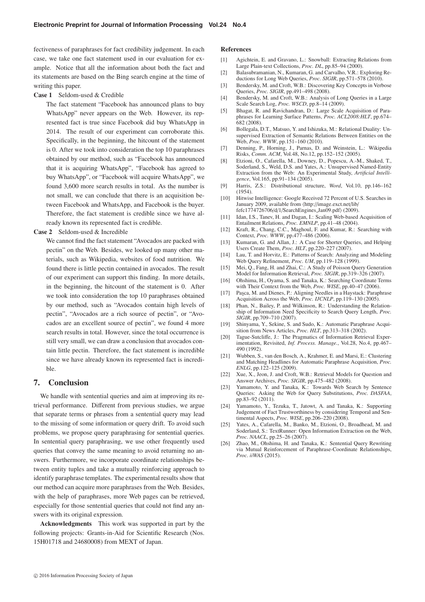fectiveness of paraphrases for fact credibility judgement. In each case, we take one fact statement used in our evaluation for example. Notice that all the information about both the fact and its statements are based on the Bing search engine at the time of writing this paper.

**Case 1** Seldom-used & Credible

The fact statement "Facebook has announced plans to buy WhatsApp" never appears on the Web. However, its represented fact is true since Facebook did buy WhatsApp in 2014. The result of our experiment can corroborate this. Specifically, in the beginning, the hitcount of the statement is 0. After we took into consideration the top 10 paraphrases obtained by our method, such as "Facebook has announced that it is acquiring WhatsApp", "Facebook has agreed to buy WhatsApp", or "Facebook will acquire WhatsApp", we found 3,600 more search results in total. As the number is not small, we can conclude that there is an acquisition between Facebook and WhatsApp, and Facebook is the buyer. Therefore, the fact statement is credible since we have already known its represented fact is credible.

**Case 2** Seldom-used & Incredible

We cannot find the fact statement "Avocados are packed with pectin" on the Web. Besides, we looked up many other materials, such as Wikipedia, websites of food nutrition. We found there is little pectin contained in avocados. The result of our experiment can support this finding. In more details, in the beginning, the hitcount of the statement is 0. After we took into consideration the top 10 paraphrases obtained by our method, such as "Avocados contain high levels of pectin", "Avocados are a rich source of pectin", or "Avocados are an excellent source of pectin", we found 4 more search results in total. However, since the total occurrence is still very small, we can draw a conclusion that avocados contain little pectin. Therefore, the fact statement is incredible since we have already known its represented fact is incredible.

# **7. Conclusion**

We handle with sentential queries and aim at improving its retrieval performance. Different from previous studies, we argue that separate terms or phrases from a sentential query may lead to the missing of some information or query drift. To avoid such problems, we propose query paraphrasing for sentential queries. In sentential query paraphrasing, we use other frequently used queries that convey the same meaning to avoid returning no answers. Furthermore, we incorporate coordinate relationships between entity tuples and take a mutually reinforcing approach to identify paraphrase templates. The experimental results show that our method can acquire more paraphrases from the Web. Besides, with the help of paraphrases, more Web pages can be retrieved, especially for those sentential queries that could not find any answers with its original expression.

**Acknowledgments** This work was supported in part by the following projects: Grants-in-Aid for Scientific Research (Nos. 15H01718 and 24680008) from MEXT of Japan.

## **References**

- [1] Agichtein, E. and Gravano, L.: Snowball: Extracting Relations from Large Plain-text Collections, *Proc. DL*, pp.85–94 (2000).
- [2] Balasubramanian, N., Kumaran, G. and Carvalho, V.R.: Exploring Reductions for Long Web Queries, *Proc. SIGIR*, pp.571–578 (2010).
- [3] Bendersky, M. and Croft, W.B.: Discovering Key Concepts in Verbose Queries, *Proc. SIGIR*, pp.491–498 (2008).
- [4] Bendersky, M. and Croft, W.B.: Analysis of Long Queries in a Large Scale Search Log, *Proc. WSCD*, pp.8–14 (2009).
- [5] Bhagat, R. and Ravichandran, D.: Large Scale Acquisition of Paraphrases for Learning Surface Patterns, *Proc. ACL2008:HLT*, pp.674– 682 (2008).
- [6] Bollegala, D.T., Matsuo, Y. and Ishizuka, M.: Relational Duality: Unsupervised Extraction of Semantic Relations Between Entities on the Web, *Proc. WWW*, pp.151–160 (2010).
- [7] Denning, P., Horning, J., Parnas, D. and Weinstein, L.: Wikipedia Risks, *Comm. ACM*, Vol.48, No.12, pp.152–152 (2005).
- [8] Etzioni, O., Cafarella, M., Downey, D., Popescu, A.-M., Shaked, T., Soderland, S., Weld, D.S. and Yates, A.: Unsupervised Named-Entity Extraction from the Web: An Experimental Study, *Artificial Intelligence*, Vol.165, pp.91–134 (2005).
- [9] Harris, Z.S.: Distributional structure, *Word*, Vol.10, pp.146–162 (1954).
- [10] Hitwise Intelligence: Google Received 72 Percent of U.S. Searches in January 2009, available from (http://image.exct.net/lib/ fefc1774726706/d/1/SearchEngines Jan09.pdf (2009).
- [11] Idan, I.S., Tanev, H. and Dagan, I.: Scaling Web-based Acquisition of Entailment Relations, *Proc. EMNLP*, pp.41–48 (2004).
- [12] Kraft, R., Chang, C.C., Maghoul, F. and Kumar, R.: Searching with Context, *Proc. WWW*, pp.477–486 (2006).
- [13] Kumaran, G. and Allan, J.: A Case for Shorter Queries, and Helping Users Create Them, *Proc. HLT*, pp.220–227 (2007).
- [14] Lau, T. and Horvitz, E.: Patterns of Search: Analyzing and Modeling Web Query Refinement, *Proc. UM*, pp.119–128 (1999).
- [15] Mei, Q., Fang, H. and Zhai, C.: A Study of Poisson Query Generation Model for Information Retrieval, *Proc. SIGIR*, pp.319–326 (2007).
- [16] Ohshima, H., Oyama, S. and Tanaka, K.: Searching Coordinate Terms with Their Context from the Web, *Proc. WISE*, pp.40–47 (2006).
- [17] Paşca, M. and Dienes, P.: Aligning Needles in a Haystack: Paraphrase Acquisition Across the Web, *Proc. IJCNLP*, pp.119–130 (2005).
- [18] Phan, N., Bailey, P. and Wilkinson, R.: Understanding the Relationship of Information Need Specificity to Search Query Length, *Proc. SIGIR*, pp.709–710 (2007).
- [19] Shinyama, Y., Sekine, S. and Sudo, K.: Automatic Paraphrase Acquisition from News Articles, *Proc. HLT*, pp.313–318 (2002).
- [20] Tague-Sutcliffe, J.: The Pragmatics of Information Retrieval Experimentation, Revisited, *Inf. Process. Manage.*, Vol.28, No.4, pp.467– 490 (1992).
- [21] Wubben, S., van den Bosch, A., Krahmer, E. and Marsi, E.: Clustering and Matching Headlines for Automatic Paraphrase Acquisition, *Proc. ENLG*, pp.122–125 (2009).
- [22] Xue, X., Jeon, J. and Croft, W.B.: Retrieval Models for Question and Answer Archives, *Proc. SIGIR*, pp.475–482 (2008).
- [23] Yamamoto, Y. and Tanaka, K.: Towards Web Search by Sentence Queries: Asking the Web for Query Substitutions, *Proc. DASFAA*, pp.83–92 (2011).
- [24] Yamamoto, Y., Tezuka, T., Jatowt, A. and Tanaka, K.: Supporting Judgement of Fact Trustworthiness by considering Temporal and Sentimental Aspects, *Proc. WISE*, pp.206–220 (2008).
- [25] Yates, A., Cafarella, M., Banko, M., Etzioni, O., Broadhead, M. and Soderland, S.: TextRunner: Open Information Extraction on the Web, *Proc. NAACL*, pp.25–26 (2007).
- [26] Zhao, M., Ohshima, H. and Tanaka, K.: Sentential Query Rewriting via Mutual Reinforcement of Paraphrase-Coordinate Relationships, *Proc. iiWAS* (2015).